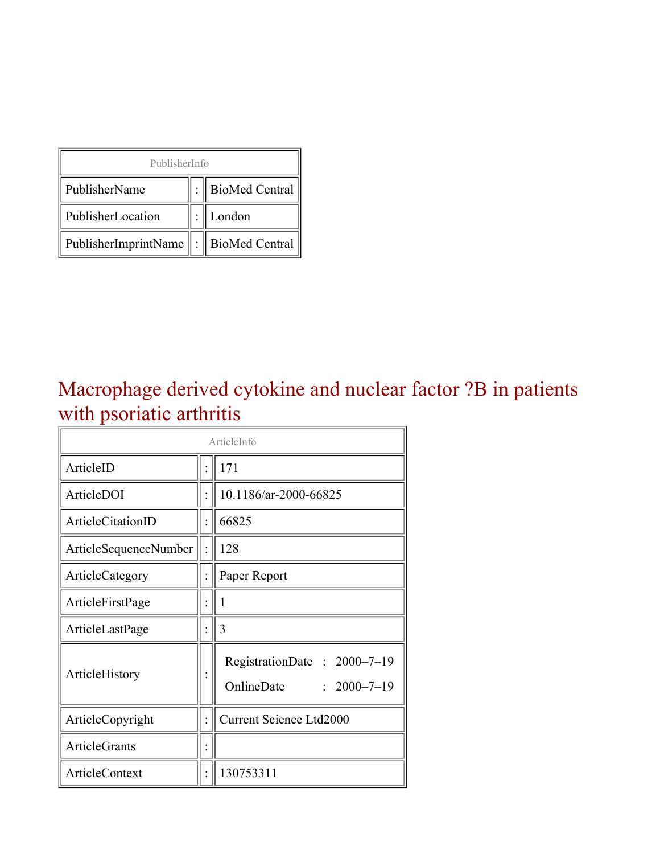| PublisherInfo                                   |  |                    |  |  |
|-------------------------------------------------|--|--------------------|--|--|
| PublisherName                                   |  | :   BioMed Central |  |  |
| PublisherLocation                               |  | London             |  |  |
| PublisherImprintName $\ \cdot\ $ BioMed Central |  |                    |  |  |

### Macrophage derived cytokine and nuclear factor ?B in patients with psoriatic arthritis

| ArticleInfo           |  |                                                                |  |
|-----------------------|--|----------------------------------------------------------------|--|
| ArticleID             |  | 171                                                            |  |
| ArticleDOI            |  | 10.1186/ar-2000-66825                                          |  |
| ArticleCitationID     |  | 66825                                                          |  |
| ArticleSequenceNumber |  | 128                                                            |  |
| ArticleCategory       |  | Paper Report                                                   |  |
| ArticleFirstPage      |  | 1                                                              |  |
| ArticleLastPage       |  | 3                                                              |  |
| ArticleHistory        |  | RegistrationDate: 2000-7-19<br>OnlineDate<br>$: 2000 - 7 - 19$ |  |
| ArticleCopyright      |  | <b>Current Science Ltd2000</b>                                 |  |
| <b>ArticleGrants</b>  |  |                                                                |  |
| <b>ArticleContext</b> |  | 130753311                                                      |  |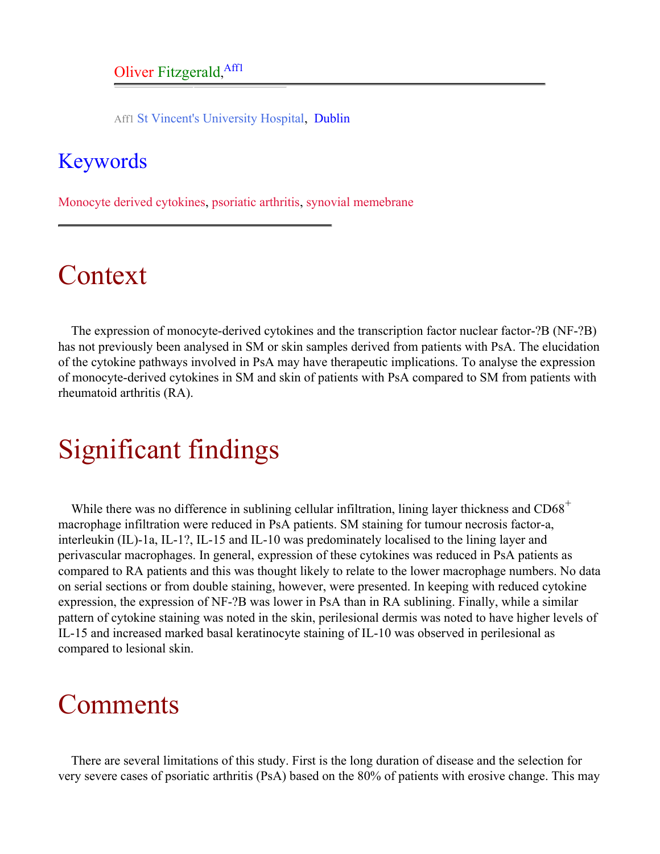Aff1 St Vincent's University Hospital, Dublin

#### <span id="page-1-0"></span>Keywords

Monocyte derived cytokines, psoriatic arthritis, synovial memebrane

## Context

The expression of monocyte-derived cytokines and the transcription factor nuclear factor-?B (NF-?B) has not previously been analysed in SM or skin samples derived from patients with PsA. The elucidation of the cytokine pathways involved in PsA may have therapeutic implications. To analyse the expression of monocyte-derived cytokines in SM and skin of patients with PsA compared to SM from patients with rheumatoid arthritis (RA).

## Significant findings

While there was no difference in sublining cellular infiltration, lining layer thickness and  $CD68<sup>+</sup>$ macrophage infiltration were reduced in PsA patients. SM staining for tumour necrosis factor-a, interleukin (IL)-1a, IL-1?, IL-15 and IL-10 was predominately localised to the lining layer and perivascular macrophages. In general, expression of these cytokines was reduced in PsA patients as compared to RA patients and this was thought likely to relate to the lower macrophage numbers. No data on serial sections or from double staining, however, were presented. In keeping with reduced cytokine expression, the expression of NF-?B was lower in PsA than in RA sublining. Finally, while a similar pattern of cytokine staining was noted in the skin, perilesional dermis was noted to have higher levels of IL-15 and increased marked basal keratinocyte staining of IL-10 was observed in perilesional as compared to lesional skin.

### **Comments**

There are several limitations of this study. First is the long duration of disease and the selection for very severe cases of psoriatic arthritis (PsA) based on the 80% of patients with erosive change. This may